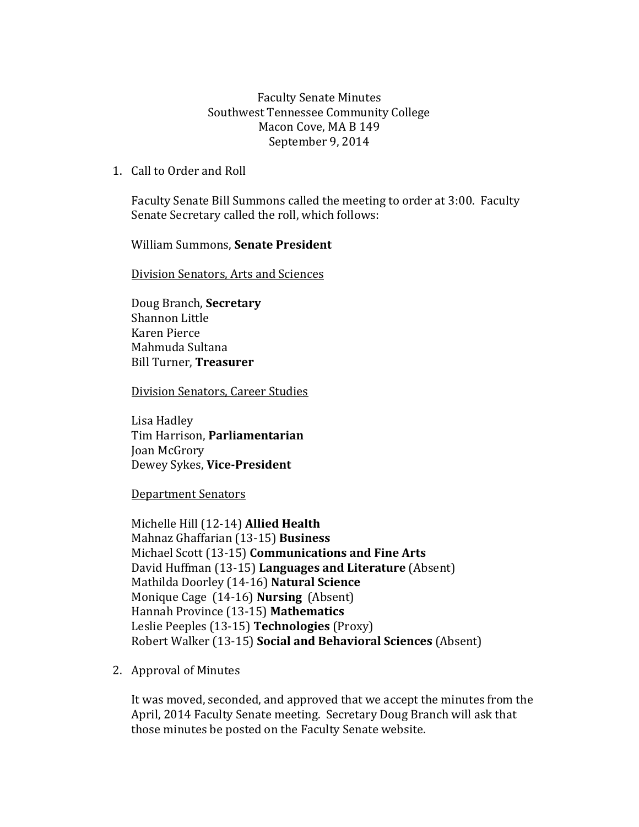Faculty Senate Minutes Southwest Tennessee Community College Macon Cove, MA B 149 September 9, 2014

1. Call to Order and Roll

Faculty Senate Bill Summons called the meeting to order at 3:00. Faculty Senate Secretary called the roll, which follows:

William Summons, **Senate President**

Division Senators, Arts and Sciences

Doug Branch, **Secretary** Shannon Little Karen Pierce Mahmuda Sultana Bill Turner, **Treasurer**

Division Senators, Career Studies

Lisa Hadley Tim Harrison, **Parliamentarian** Joan McGrory Dewey Sykes, **Vice-President**

Department Senators

Michelle Hill (12-14) **Allied Health** Mahnaz Ghaffarian (13-15) **Business** Michael Scott (13-15) **Communications and Fine Arts** David Huffman (13-15) **Languages and Literature** (Absent) Mathilda Doorley (14-16) **Natural Science** Monique Cage (14-16) **Nursing** (Absent) Hannah Province (13-15) **Mathematics** Leslie Peeples (13-15) **Technologies** (Proxy) Robert Walker (13-15) **Social and Behavioral Sciences** (Absent)

2. Approval of Minutes

It was moved, seconded, and approved that we accept the minutes from the April, 2014 Faculty Senate meeting. Secretary Doug Branch will ask that those minutes be posted on the Faculty Senate website.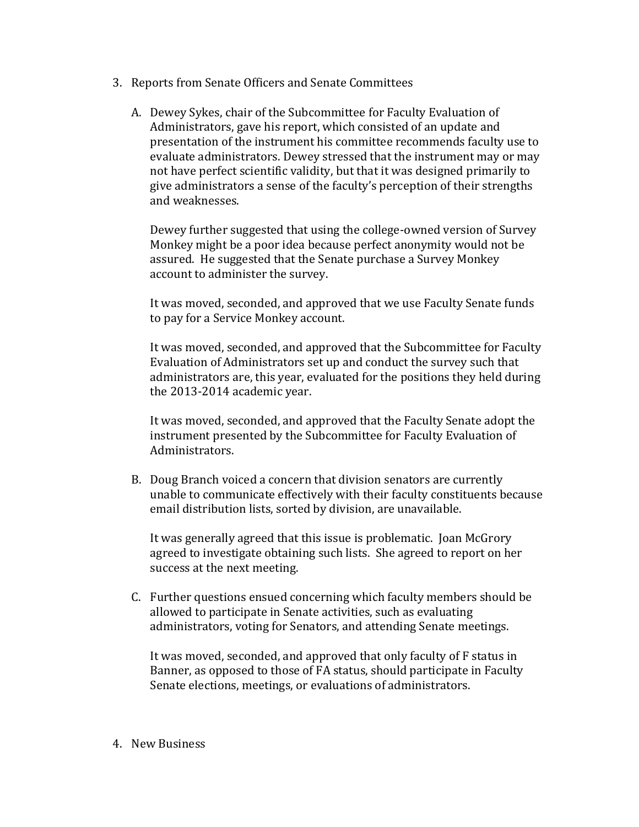- 3. Reports from Senate Officers and Senate Committees
	- A. Dewey Sykes, chair of the Subcommittee for Faculty Evaluation of Administrators, gave his report, which consisted of an update and presentation of the instrument his committee recommends faculty use to evaluate administrators. Dewey stressed that the instrument may or may not have perfect scientific validity, but that it was designed primarily to give administrators a sense of the faculty's perception of their strengths and weaknesses.

Dewey further suggested that using the college-owned version of Survey Monkey might be a poor idea because perfect anonymity would not be assured. He suggested that the Senate purchase a Survey Monkey account to administer the survey.

It was moved, seconded, and approved that we use Faculty Senate funds to pay for a Service Monkey account.

It was moved, seconded, and approved that the Subcommittee for Faculty Evaluation of Administrators set up and conduct the survey such that administrators are, this year, evaluated for the positions they held during the 2013-2014 academic year.

It was moved, seconded, and approved that the Faculty Senate adopt the instrument presented by the Subcommittee for Faculty Evaluation of Administrators.

B. Doug Branch voiced a concern that division senators are currently unable to communicate effectively with their faculty constituents because email distribution lists, sorted by division, are unavailable.

It was generally agreed that this issue is problematic. Joan McGrory agreed to investigate obtaining such lists. She agreed to report on her success at the next meeting.

C. Further questions ensued concerning which faculty members should be allowed to participate in Senate activities, such as evaluating administrators, voting for Senators, and attending Senate meetings.

It was moved, seconded, and approved that only faculty of F status in Banner, as opposed to those of FA status, should participate in Faculty Senate elections, meetings, or evaluations of administrators.

4. New Business